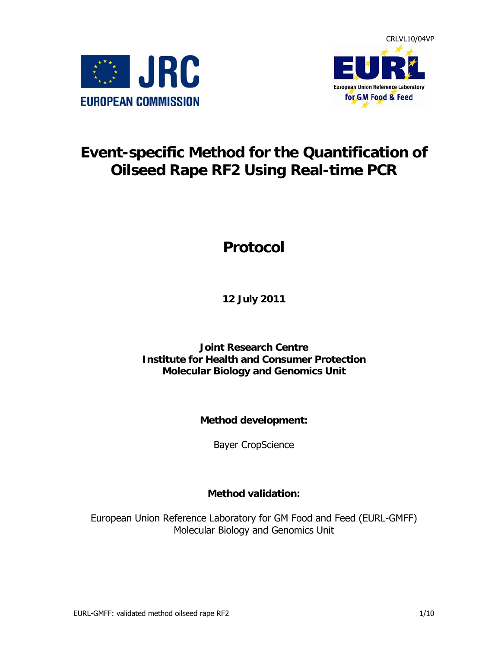



# **Event-specific Method for the Quantification of Oilseed Rape RF2 Using Real-time PCR**

# **Protocol**

**12 July 2011** 

**Joint Research Centre Institute for Health and Consumer Protection Molecular Biology and Genomics Unit** 

**Method development:** 

Bayer CropScience

**Method validation:** 

European Union Reference Laboratory for GM Food and Feed (EURL-GMFF) Molecular Biology and Genomics Unit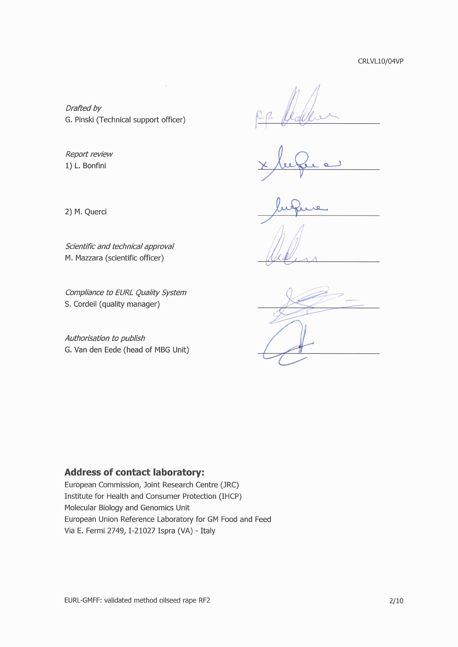CRLVL10/04VP

Drafted by G. Pinski (Technical support officer)

 $\bar{r}$ 

Report review 1) L. Bonfini

2) M. Querci

Scientific and technical approval M. Mazzara (scientific officer)

Compliance to EURL Quality System S. Cordeil (quality manager)

Authorisation to publish G. Van den Eede (head of MBG Unit)

#### **Address of contact laboratory:**

European Commission, Joint Research Centre (JRC) Institute for Health and Consumer Protection (IHCP) Molecular Biology and Genomics Unit European Union Reference Laboratory for GM Food and Feed Via E. Fermi 2749, I-21027 Ispra (VA) - Italy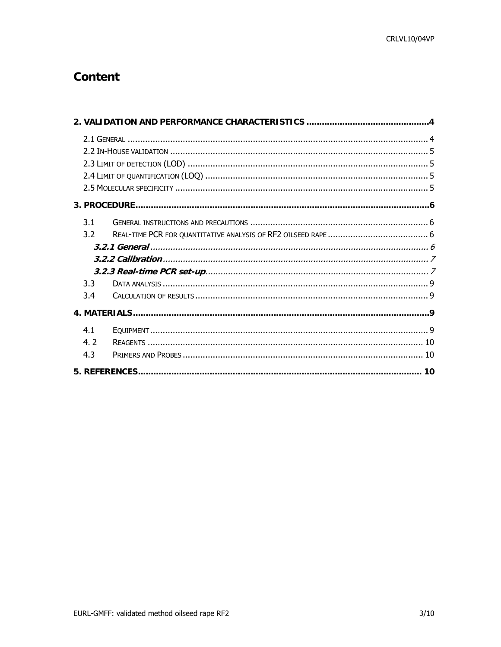# **Content**

| 3.1 |  |  |  |  |  |
|-----|--|--|--|--|--|
| 3.2 |  |  |  |  |  |
|     |  |  |  |  |  |
|     |  |  |  |  |  |
|     |  |  |  |  |  |
| 3.3 |  |  |  |  |  |
| 3.4 |  |  |  |  |  |
|     |  |  |  |  |  |
| 4.1 |  |  |  |  |  |
| 4.2 |  |  |  |  |  |
| 4.3 |  |  |  |  |  |
|     |  |  |  |  |  |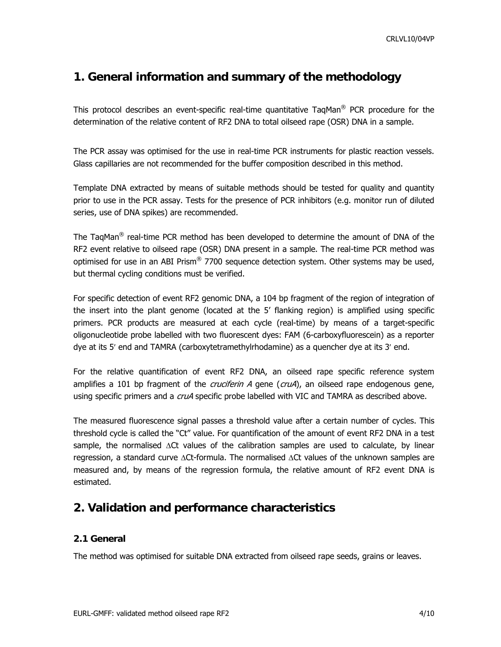## <span id="page-3-0"></span>**1. General information and summary of the methodology**

This protocol describes an event-specific real-time quantitative TaqMan<sup>®</sup> PCR procedure for the determination of the relative content of RF2 DNA to total oilseed rape (OSR) DNA in a sample.

The PCR assay was optimised for the use in real-time PCR instruments for plastic reaction vessels. Glass capillaries are not recommended for the buffer composition described in this method.

Template DNA extracted by means of suitable methods should be tested for quality and quantity prior to use in the PCR assay. Tests for the presence of PCR inhibitors (e.g. monitor run of diluted series, use of DNA spikes) are recommended.

The TaqMan® real-time PCR method has been developed to determine the amount of DNA of the RF2 event relative to oilseed rape (OSR) DNA present in a sample. The real-time PCR method was optimised for use in an ABI Prism<sup>®</sup> 7700 sequence detection system. Other systems may be used, but thermal cycling conditions must be verified.

For specific detection of event RF2 genomic DNA, a 104 bp fragment of the region of integration of the insert into the plant genome (located at the 5' flanking region) is amplified using specific primers. PCR products are measured at each cycle (real-time) by means of a target-specific oligonucleotide probe labelled with two fluorescent dyes: FAM (6-carboxyfluorescein) as a reporter dye at its 5′ end and TAMRA (carboxytetramethylrhodamine) as a quencher dye at its 3′ end.

For the relative quantification of event RF2 DNA, an oilseed rape specific reference system amplifies a 101 bp fragment of the *cruciferin A* gene ( $cruA$ ), an oilseed rape endogenous gene, using specific primers and a *cruA* specific probe labelled with VIC and TAMRA as described above.

The measured fluorescence signal passes a threshold value after a certain number of cycles. This threshold cycle is called the "Ct" value. For quantification of the amount of event RF2 DNA in a test sample, the normalised ΔCt values of the calibration samples are used to calculate, by linear regression, a standard curve ΔCt-formula. The normalised ΔCt values of the unknown samples are measured and, by means of the regression formula, the relative amount of RF2 event DNA is estimated.

# **2. Validation and performance characteristics**

#### **2.1 General**

The method was optimised for suitable DNA extracted from oilseed rape seeds, grains or leaves.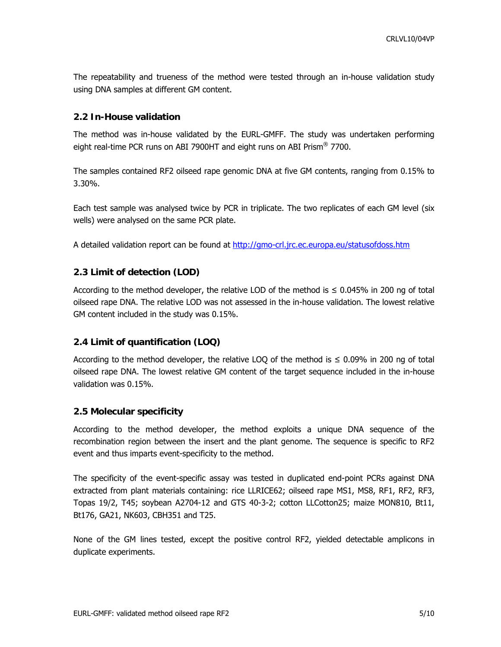<span id="page-4-0"></span>The repeatability and trueness of the method were tested through an in-house validation study using DNA samples at different GM content.

#### **2.2 In-House validation**

The method was in-house validated by the EURL-GMFF. The study was undertaken performing eight real-time PCR runs on ABI 7900HT and eight runs on ABI Prism<sup>®</sup> 7700.

The samples contained RF2 oilseed rape genomic DNA at five GM contents, ranging from 0.15% to 3.30%.

Each test sample was analysed twice by PCR in triplicate. The two replicates of each GM level (six wells) were analysed on the same PCR plate.

A detailed validation report can be found at <http://gmo-crl.jrc.ec.europa.eu/statusofdoss.htm>

#### **2.3 Limit of detection (LOD)**

According to the method developer, the relative LOD of the method is  $\leq 0.045\%$  in 200 ng of total oilseed rape DNA. The relative LOD was not assessed in the in-house validation. The lowest relative GM content included in the study was 0.15%.

#### **2.4 Limit of quantification (LOQ)**

According to the method developer, the relative LOQ of the method is  $\leq 0.09\%$  in 200 ng of total oilseed rape DNA. The lowest relative GM content of the target sequence included in the in-house validation was 0.15%.

#### **2.5 Molecular specificity**

According to the method developer, the method exploits a unique DNA sequence of the recombination region between the insert and the plant genome. The sequence is specific to RF2 event and thus imparts event-specificity to the method.

The specificity of the event-specific assay was tested in duplicated end-point PCRs against DNA extracted from plant materials containing: rice LLRICE62; oilseed rape MS1, MS8, RF1, RF2, RF3, Topas 19/2, T45; soybean A2704-12 and GTS 40-3-2; cotton LLCotton25; maize MON810, Bt11, Bt176, GA21, NK603, CBH351 and T25.

None of the GM lines tested, except the positive control RF2, yielded detectable amplicons in duplicate experiments.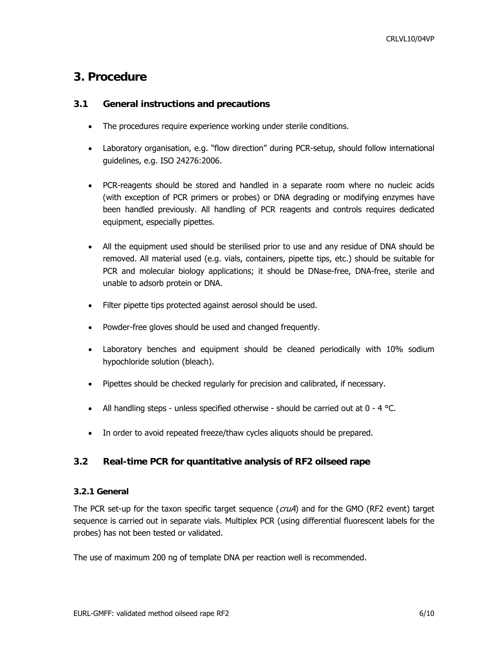### <span id="page-5-0"></span>**3. Procedure**

#### **3.1 General instructions and precautions**

- The procedures require experience working under sterile conditions.
- Laboratory organisation, e.g. "flow direction" during PCR-setup, should follow international guidelines, e.g. ISO 24276:2006.
- PCR-reagents should be stored and handled in a separate room where no nucleic acids (with exception of PCR primers or probes) or DNA degrading or modifying enzymes have been handled previously. All handling of PCR reagents and controls requires dedicated equipment, especially pipettes.
- All the equipment used should be sterilised prior to use and any residue of DNA should be removed. All material used (e.g. vials, containers, pipette tips, etc.) should be suitable for PCR and molecular biology applications; it should be DNase-free, DNA-free, sterile and unable to adsorb protein or DNA.
- Filter pipette tips protected against aerosol should be used.
- Powder-free gloves should be used and changed frequently.
- Laboratory benches and equipment should be cleaned periodically with 10% sodium hypochloride solution (bleach).
- Pipettes should be checked regularly for precision and calibrated, if necessary.
- All handling steps unless specified otherwise should be carried out at  $0 4$  °C.
- In order to avoid repeated freeze/thaw cycles aliquots should be prepared.

#### **3.2 Real-time PCR for quantitative analysis of RF2 oilseed rape**

#### **3.2.1 General**

The PCR set-up for the taxon specific target sequence  $(cruA)$  and for the GMO (RF2 event) target sequence is carried out in separate vials. Multiplex PCR (using differential fluorescent labels for the probes) has not been tested or validated.

The use of maximum 200 ng of template DNA per reaction well is recommended.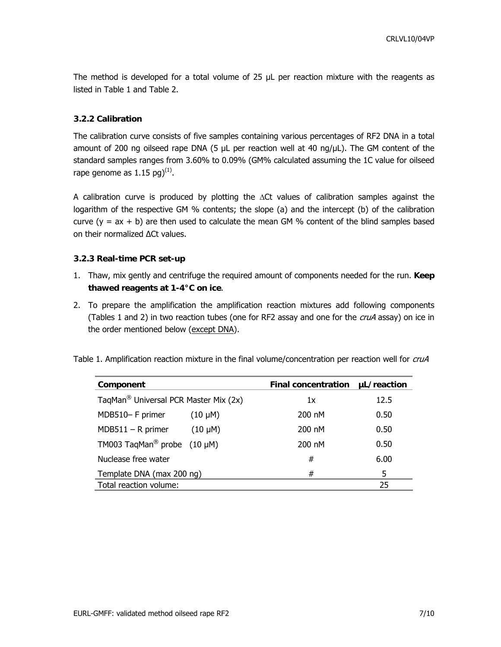<span id="page-6-0"></span>The method is developed for a total volume of 25 µL per reaction mixture with the reagents as listed in Table 1 and Table 2.

#### **3.2.2 Calibration**

The calibration curve consists of five samples containing various percentages of RF2 DNA in a total amount of 200 ng oilseed rape DNA (5 μL per reaction well at 40 ng/μL). The GM content of the standard samples ranges from 3.60% to 0.09% (GM% calculated assuming the 1C value for oilseed rape genome as  $1.15$  pg $)^{(1)}$ .

A calibration curve is produced by plotting the ΔCt values of calibration samples against the logarithm of the respective GM % contents; the slope (a) and the intercept (b) of the calibration curve  $(y = ax + b)$  are then used to calculate the mean GM % content of the blind samples based on their normalized ∆Ct values.

#### **3.2.3 Real-time PCR set-up**

- 1. Thaw, mix gently and centrifuge the required amount of components needed for the run. **Keep thawed reagents at 1-4°C on ice**.
- 2. To prepare the amplification the amplification reaction mixtures add following components (Tables 1 and 2) in two reaction tubes (one for RF2 assay and one for the *cruA* assay) on ice in the order mentioned below (except DNA).

| Table 1. Amplification reaction mixture in the final volume/concentration per reaction well for cruA |  |  |  |  |  |  |  |  |  |  |
|------------------------------------------------------------------------------------------------------|--|--|--|--|--|--|--|--|--|--|
|------------------------------------------------------------------------------------------------------|--|--|--|--|--|--|--|--|--|--|

| Component                                         |              | <b>Final concentration</b> | µL/reaction |  |
|---------------------------------------------------|--------------|----------------------------|-------------|--|
| TaqMan <sup>®</sup> Universal PCR Master Mix (2x) |              | 1x                         | 12.5        |  |
| MDB510- F primer                                  | $(10 \mu M)$ | 200 nM                     | 0.50        |  |
| $MDB511 - R$ primer                               | $(10 \mu M)$ | 200 nM                     | 0.50        |  |
| TM003 TagMan <sup>®</sup> probe $(10 \mu M)$      |              | 200 nM                     | 0.50        |  |
| Nuclease free water                               |              | #                          | 6.00        |  |
| Template DNA (max 200 ng)                         |              | #                          | 5.          |  |
| Total reaction volume:                            |              |                            | 25          |  |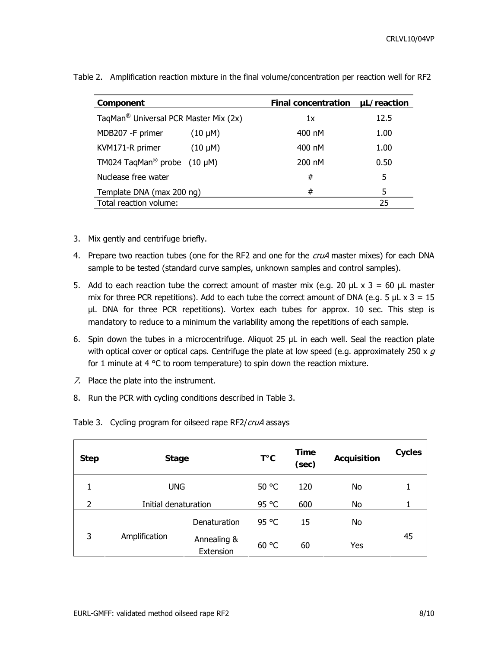| Component                                         |              | <b>Final concentration</b> | uL/reaction |  |
|---------------------------------------------------|--------------|----------------------------|-------------|--|
| TaqMan <sup>®</sup> Universal PCR Master Mix (2x) |              | 1x                         | 12.5        |  |
| MDB207 -F primer                                  | $(10 \mu M)$ | 400 nM                     | 1.00        |  |
| KVM171-R primer                                   | $(10 \mu M)$ | 400 nM                     | 1.00        |  |
| TM024 TaqMan <sup>®</sup> probe $(10 \mu M)$      |              | 200 nM                     | 0.50        |  |
| Nuclease free water                               |              | #                          | 5           |  |
| Template DNA (max 200 ng)                         |              | #                          | 5           |  |
| Total reaction volume:                            |              |                            | 25          |  |

Table 2. Amplification reaction mixture in the final volume/concentration per reaction well for RF2

- 3. Mix gently and centrifuge briefly.
- 4. Prepare two reaction tubes (one for the RF2 and one for the cruA master mixes) for each DNA sample to be tested (standard curve samples, unknown samples and control samples).
- 5. Add to each reaction tube the correct amount of master mix (e.g. 20  $\mu$ L x 3 = 60  $\mu$ L master mix for three PCR repetitions). Add to each tube the correct amount of DNA (e.g. 5  $\mu$ L x 3 = 15 µL DNA for three PCR repetitions). Vortex each tubes for approx. 10 sec. This step is mandatory to reduce to a minimum the variability among the repetitions of each sample.
- 6. Spin down the tubes in a microcentrifuge. Aliquot 25  $\mu$ L in each well. Seal the reaction plate with optical cover or optical caps. Centrifuge the plate at low speed (e.g. approximately 250 x  $q$ for 1 minute at 4 °C to room temperature) to spin down the reaction mixture.
- 7. Place the plate into the instrument.
- 8. Run the PCR with cycling conditions described in Table 3.

| <b>Step</b>              | <b>Stage</b>         |                          | T°C   | Time<br>(sec) | <b>Acquisition</b> | <b>Cycles</b> |
|--------------------------|----------------------|--------------------------|-------|---------------|--------------------|---------------|
| 1                        | <b>UNG</b>           |                          | 50 °C | 120           | No                 |               |
| $\overline{\phantom{a}}$ | Initial denaturation |                          | 95 °C | 600           | No                 |               |
|                          |                      | Denaturation             | 95 °C | 15            | No                 |               |
| 3                        | Amplification        | Annealing &<br>Extension | 60 °C | 60            | Yes                | 45            |

Table 3. Cycling program for oilseed rape RF2/cruA assays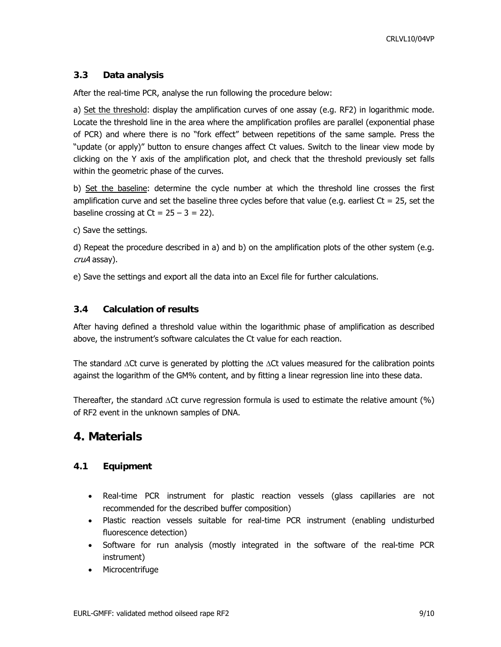#### <span id="page-8-0"></span>**3.3 Data analysis**

After the real-time PCR, analyse the run following the procedure below:

a) Set the threshold: display the amplification curves of one assay (e.g. RF2) in logarithmic mode. Locate the threshold line in the area where the amplification profiles are parallel (exponential phase of PCR) and where there is no "fork effect" between repetitions of the same sample. Press the "update (or apply)" button to ensure changes affect Ct values. Switch to the linear view mode by clicking on the Y axis of the amplification plot, and check that the threshold previously set falls within the geometric phase of the curves.

b) Set the baseline: determine the cycle number at which the threshold line crosses the first amplification curve and set the baseline three cycles before that value (e.g. earliest  $Ct = 25$ , set the baseline crossing at  $Ct = 25 - 3 = 22$ ).

c) Save the settings.

d) Repeat the procedure described in a) and b) on the amplification plots of the other system (e.g. cruA assay).

e) Save the settings and export all the data into an Excel file for further calculations.

#### **3.4 Calculation of results**

After having defined a threshold value within the logarithmic phase of amplification as described above, the instrument's software calculates the Ct value for each reaction.

The standard  $\Delta$ Ct curve is generated by plotting the  $\Delta$ Ct values measured for the calibration points against the logarithm of the GM% content, and by fitting a linear regression line into these data.

Thereafter, the standard  $\Delta$ Ct curve regression formula is used to estimate the relative amount (%) of RF2 event in the unknown samples of DNA.

### **4. Materials**

#### **4.1 Equipment**

- Real-time PCR instrument for plastic reaction vessels (glass capillaries are not recommended for the described buffer composition)
- Plastic reaction vessels suitable for real-time PCR instrument (enabling undisturbed fluorescence detection)
- Software for run analysis (mostly integrated in the software of the real-time PCR instrument)
- Microcentrifuge